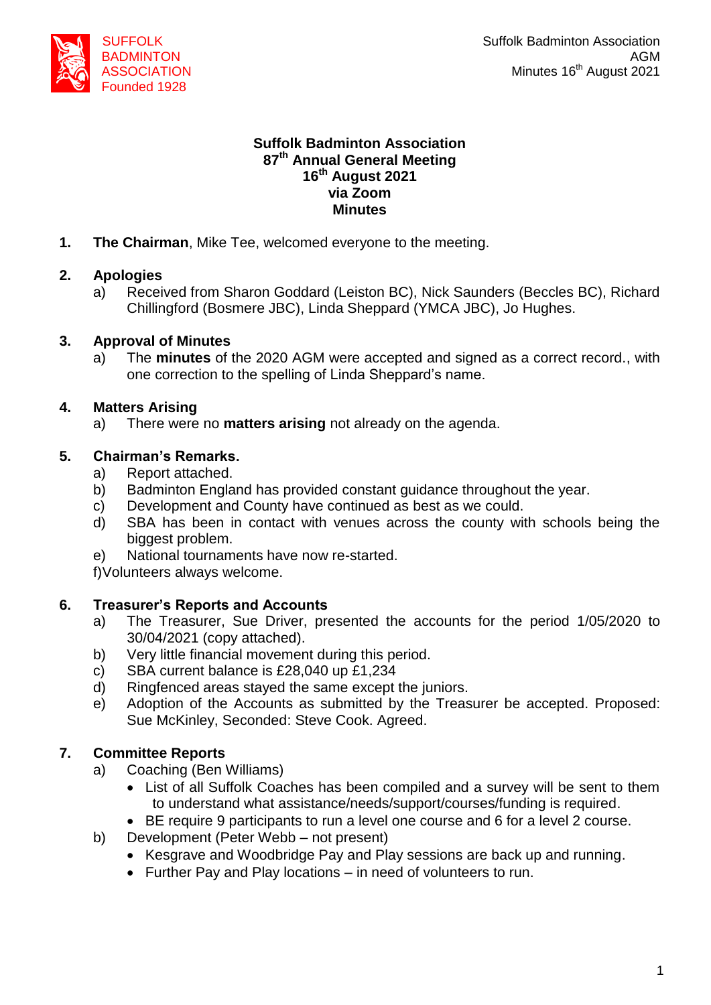

#### **Suffolk Badminton Association 87 th Annual General Meeting 16 th August 2021 via Zoom Minutes**

**1. The Chairman**, Mike Tee, welcomed everyone to the meeting.

## **2. Apologies**

a) Received from Sharon Goddard (Leiston BC), Nick Saunders (Beccles BC), Richard Chillingford (Bosmere JBC), Linda Sheppard (YMCA JBC), Jo Hughes.

## **3. Approval of Minutes**

a) The **minutes** of the 2020 AGM were accepted and signed as a correct record., with one correction to the spelling of Linda Sheppard's name.

## **4. Matters Arising**

a) There were no **matters arising** not already on the agenda.

## **5. Chairman's Remarks.**

- a) Report attached.
- b) Badminton England has provided constant guidance throughout the year.
- c) Development and County have continued as best as we could.
- d) SBA has been in contact with venues across the county with schools being the biggest problem.
- e) National tournaments have now re-started.

f)Volunteers always welcome.

# **6. Treasurer's Reports and Accounts**

- a) The Treasurer, Sue Driver, presented the accounts for the period 1/05/2020 to 30/04/2021 (copy attached).
- b) Very little financial movement during this period.
- c) SBA current balance is £28,040 up £1,234
- d) Ringfenced areas stayed the same except the juniors.
- e) Adoption of the Accounts as submitted by the Treasurer be accepted. Proposed: Sue McKinley, Seconded: Steve Cook. Agreed.

# **7. Committee Reports**

- a) Coaching (Ben Williams)
	- List of all Suffolk Coaches has been compiled and a survey will be sent to them to understand what assistance/needs/support/courses/funding is required.
	- BE require 9 participants to run a level one course and 6 for a level 2 course.
- b) Development (Peter Webb not present)
	- Kesgrave and Woodbridge Pay and Play sessions are back up and running.
	- Further Pay and Play locations in need of volunteers to run.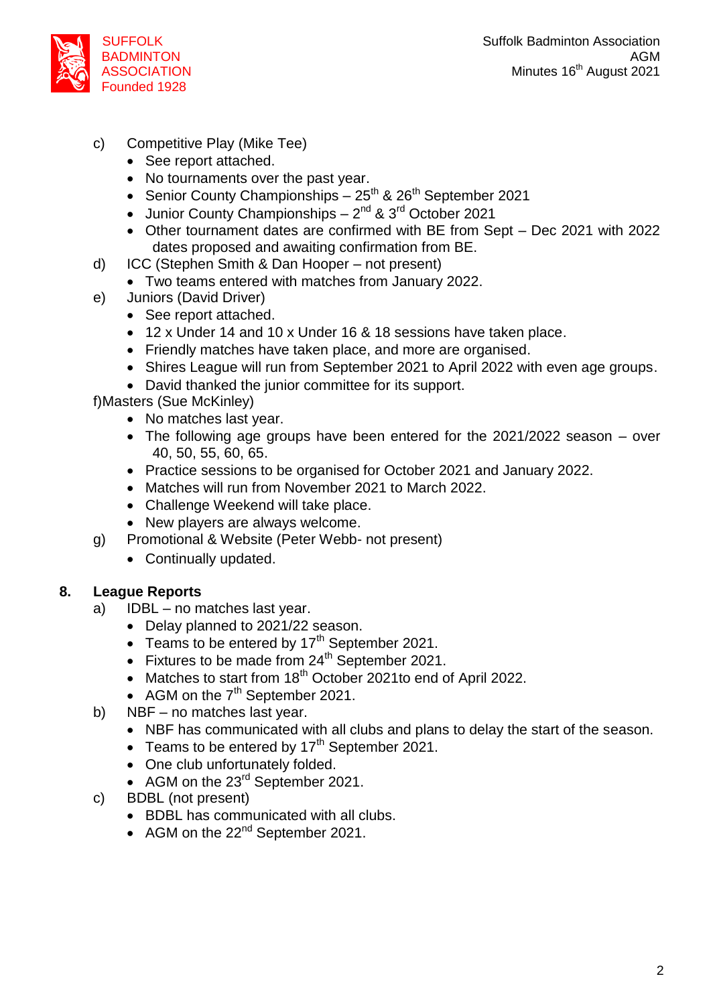

- c) Competitive Play (Mike Tee)
	- See report attached.
	- No tournaments over the past year.
	- Senior County Championships  $25^{th}$  &  $26^{th}$  September 2021
	- Junior County Championships  $-2^{nd}$  & 3<sup>rd</sup> October 2021
	- Other tournament dates are confirmed with BE from Sept Dec 2021 with 2022 dates proposed and awaiting confirmation from BE.
- d) ICC (Stephen Smith & Dan Hooper not present)
	- Two teams entered with matches from January 2022.
- e) Juniors (David Driver)
	- See report attached.
	- 12 x Under 14 and 10 x Under 16 & 18 sessions have taken place.
	- Friendly matches have taken place, and more are organised.
	- Shires League will run from September 2021 to April 2022 with even age groups.
	- David thanked the junior committee for its support.

f)Masters (Sue McKinley)

- No matches last year.
- The following age groups have been entered for the 2021/2022 season over 40, 50, 55, 60, 65.
- Practice sessions to be organised for October 2021 and January 2022.
- Matches will run from November 2021 to March 2022.
- Challenge Weekend will take place.
- New players are always welcome.
- g) Promotional & Website (Peter Webb- not present)
	- Continually updated.

#### **8. League Reports**

- a) IDBL no matches last year.
	- Delay planned to 2021/22 season.
	- Teams to be entered by  $17<sup>th</sup>$  September 2021.
	- $\bullet$  Fixtures to be made from 24<sup>th</sup> September 2021.
	- Matches to start from 18<sup>th</sup> October 2021to end of April 2022.
	- AGM on the  $7<sup>th</sup>$  September 2021.
- b) NBF no matches last year.
	- NBF has communicated with all clubs and plans to delay the start of the season.
	- Teams to be entered by  $17<sup>th</sup>$  September 2021.
	- One club unfortunately folded.
	- AGM on the 23<sup>rd</sup> September 2021.
- c) BDBL (not present)
	- BDBL has communicated with all clubs.
	- AGM on the  $22^{nd}$  September 2021.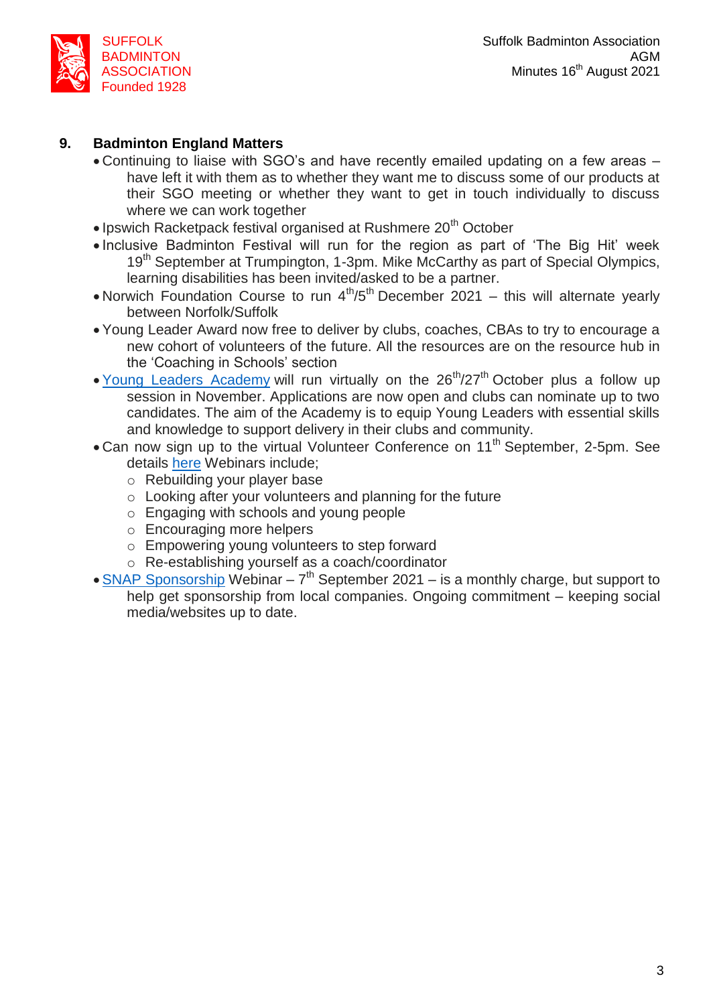

## **9. Badminton England Matters**

- Continuing to liaise with SGO's and have recently emailed updating on a few areas have left it with them as to whether they want me to discuss some of our products at their SGO meeting or whether they want to get in touch individually to discuss where we can work together
- Ipswich Racketpack festival organised at Rushmere 20<sup>th</sup> October
- Inclusive Badminton Festival will run for the region as part of 'The Big Hit' week 19<sup>th</sup> September at Trumpington, 1-3pm. Mike McCarthy as part of Special Olympics, learning disabilities has been invited/asked to be a partner.
- Norwich Foundation Course to run  $4<sup>th</sup>/5<sup>th</sup>$  December 2021 this will alternate yearly between Norfolk/Suffolk
- Young Leader Award now free to deliver by clubs, coaches, CBAs to try to encourage a new cohort of volunteers of the future. All the resources are on the resource hub in the 'Coaching in Schools' section
- Young Leaders [Academy](https://www.badmintonengland.co.uk/young-leaders-academy/) will run virtually on the  $26<sup>th</sup>/27<sup>th</sup>$  October plus a follow up session in November. Applications are now open and clubs can nominate up to two candidates. The aim of the Academy is to equip Young Leaders with essential skills and knowledge to support delivery in their clubs and community.
- Can now sign up to the virtual Volunteer Conference on 11<sup>th</sup> September, 2-5pm. See details [here](https://www.badmintonengland.co.uk/on-court/volunteer-in-badminton/national-volunteer-conference/) Webinars include;
	- o Rebuilding your player base
	- o Looking after your volunteers and planning for the future
	- o Engaging with schools and young people
	- o Encouraging more helpers
	- o Empowering young volunteers to step forward
	- o Re-establishing yourself as a coach/coordinator
- **SNAP [Sponsorship](https://us02web.zoom.us/webinar/register/WN_ojWbgIzZRMe0fQRsJpg28A?utm_source=Communicator&utm_medium=email&utm_content=SnapWebinar&utm_campaign=Your+August+Newsletter&_ccCt=kyw6yWbHO%7eEQKT0NtZGAv8AQkKC3SEffAd1XhiyxYAbH80FakcHPPoYcCvk_O4xx)** Webinar  $7<sup>th</sup>$  September 2021 is a monthly charge, but support to help get sponsorship from local companies. Ongoing commitment – keeping social media/websites up to date.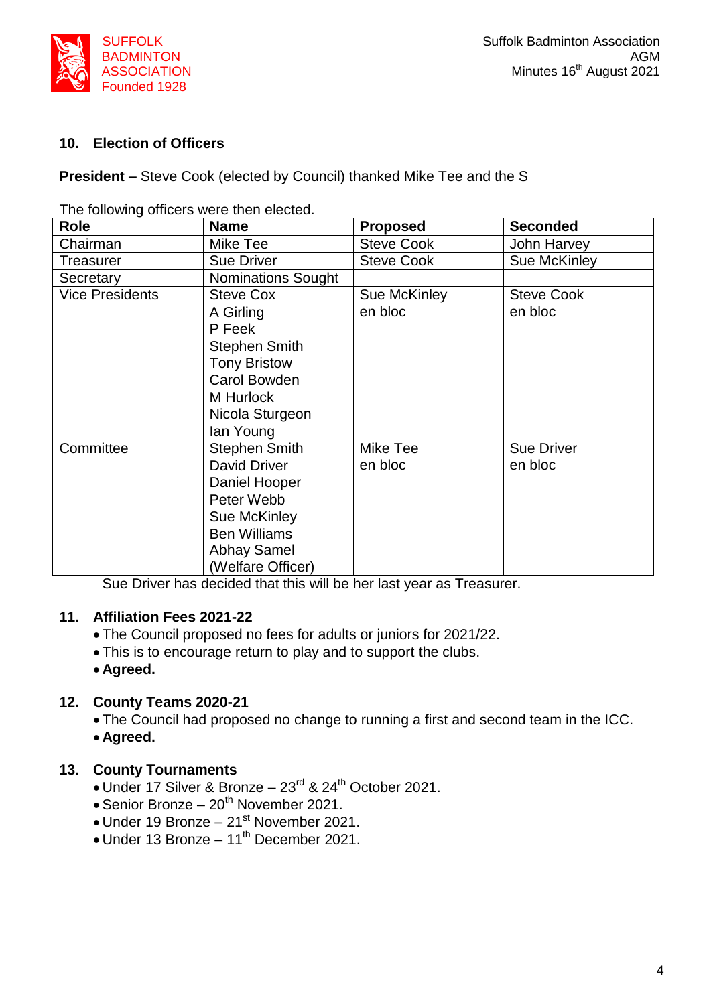

### **10. Election of Officers**

**President –** Steve Cook (elected by Council) thanked Mike Tee and the S

| <b>Role</b>            | <b>Name</b>               | <b>Proposed</b>   | <b>Seconded</b>   |
|------------------------|---------------------------|-------------------|-------------------|
| Chairman               | Mike Tee                  | <b>Steve Cook</b> | John Harvey       |
| Treasurer              | <b>Sue Driver</b>         | <b>Steve Cook</b> | Sue McKinley      |
| Secretary              | <b>Nominations Sought</b> |                   |                   |
| <b>Vice Presidents</b> | <b>Steve Cox</b>          | Sue McKinley      | <b>Steve Cook</b> |
|                        | A Girling                 | en bloc           | en bloc           |
|                        | P Feek                    |                   |                   |
|                        | <b>Stephen Smith</b>      |                   |                   |
|                        | <b>Tony Bristow</b>       |                   |                   |
|                        | Carol Bowden              |                   |                   |
|                        | M Hurlock                 |                   |                   |
|                        | Nicola Sturgeon           |                   |                   |
|                        | lan Young                 |                   |                   |
| Committee              | <b>Stephen Smith</b>      | Mike Tee          | <b>Sue Driver</b> |
|                        | <b>David Driver</b>       | en bloc           | en bloc           |
|                        | Daniel Hooper             |                   |                   |
|                        | Peter Webb                |                   |                   |
|                        | Sue McKinley              |                   |                   |
|                        | <b>Ben Williams</b>       |                   |                   |
|                        | <b>Abhay Samel</b>        |                   |                   |
|                        | (Welfare Officer)         |                   |                   |

The following officers were then elected.

Sue Driver has decided that this will be her last year as Treasurer.

#### **11. Affiliation Fees 2021-22**

- The Council proposed no fees for adults or juniors for 2021/22.
- This is to encourage return to play and to support the clubs.
- **Agreed.**

#### **12. County Teams 2020-21**

The Council had proposed no change to running a first and second team in the ICC.

**Agreed.**

#### **13. County Tournaments**

- Under 17 Silver & Bronze 23<sup>rd</sup> & 24<sup>th</sup> October 2021.
- $\bullet$  Senior Bronze 20<sup>th</sup> November 2021.
- $\bullet$  Under 19 Bronze 21st November 2021.
- Under 13 Bronze 11<sup>th</sup> December 2021.